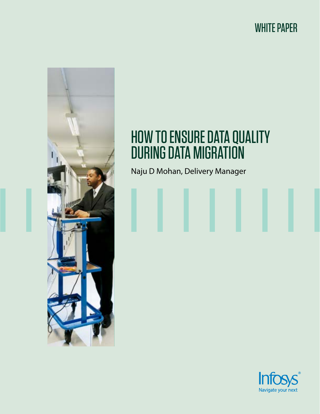# WHITE PAPER



# HOW TO ENSURE DATA QUALITY DURING DATA MIGRATION

Naju D Mohan, Delivery Manager

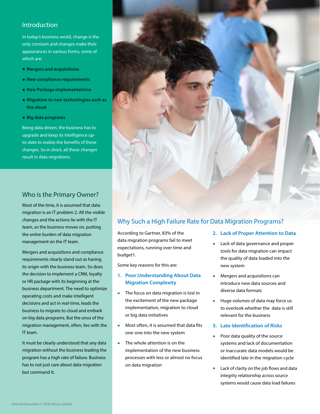# Introduction

In today's business world, change is the only constant and changes make their appearances in various forms, some of which are:

- **• Mergers and acquisitions**
- **• New compliance requirements**
- **• New Package implementations**
- **Migration to new technologies such as the cloud**
- **• Big data programs**

Being data driven, the business has to upgrade and keep its intelligence upto-date to realize the benefits of these changes. So in short, all these changes result in data migrations.



# Who is the Primary Owner?

Most of the time, it is assumed that data migration is an IT problem 2. All the visible changes and the actions lie with the IT team, so the business moves on, putting the entire burden of data migration management on the IT team.

Mergers and acquisitions and compliance requirements clearly stand out as having its origin with the business team. So does the decision to implement a CRM, loyalty or HR package with its beginning at the business department. The need to optimize operating costs and make intelligent decisions and act in real-time, leads the business to migrate to cloud and embark on big data programs. But the onus of the migration management, often, lies with the IT team.

It must be clearly understood that any data migration without the business leading the program has a high rate of failure. Business has to not just care about data migration but command it.

# Why Such a High Failure Rate for Data Migration Programs?

According to Gartner, 83% of the data migration programs fail to meet expectations, running over time and budget1.

Some key reasons for this are:

## **1. Poor Understanding About Data Migration Complexity**

- The focus on data migration is lost in the excitement of the new package implementation, migration to cloud or big data initiatives
- Most often, it is assumed that data fits one-one into the new system
- The whole attention is on the implementation of the new business processes with less or almost no focus on data migration
- **2. Lack of Proper Attention to Data**
- Lack of data governance and proper tools for data migration can impact the quality of data loaded into the new system
- Mergers and acquisitions can introduce new data sources and diverse data formats
- Huge volumes of data may force us to overlook whether the data is still relevant for the business
- **3. Late Identification of Risks**
- Poor data quality of the source systems and lack of documentation or inaccurate data models would be identified late in the migration cycle
- Lack of clarity on the job flows and data integrity relationship across source systems would cause data load failures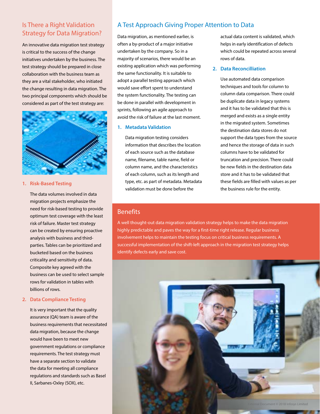# Is There a Right Validation Strategy for Data Migration?

An innovative data migration test strategy is critical to the success of the change initiatives undertaken by the business. The test strategy should be prepared in close collaboration with the business team as they are a vital stakeholder, who initiated the change resulting in data migration. The two principal components which should be considered as part of the test strategy are:



#### **1. Risk-Based Testing**

 The data volumes involved in data migration projects emphasize the need for risk-based testing to provide optimum test coverage with the least risk of failure. Master test strategy can be created by ensuring proactive analysis with business and thirdparties. Tables can be prioritized and bucketed based on the business criticality and sensitivity of data. Composite key agreed with the business can be used to select sample rows for validation in tables with billions of rows.

### **2. Data Compliance Testing**

It is very important that the quality assurance (QA) team is aware of the business requirements that necessitated data migration, because the change would have been to meet new government regulations or compliance requirements. The test strategy must have a separate section to validate the data for meeting all compliance regulations and standards such as Basel II, Sarbanes-Oxley (SOX), etc.

# A Test Approach Giving Proper Attention to Data

Data migration, as mentioned earlier, is often a by-product of a major initiative undertaken by the company. So in a majority of scenarios, there would be an existing application which was performing the same functionality. It is suitable to adopt a parallel testing approach which would save effort spent to understand the system functionality. The testing can be done in parallel with development in sprints, following an agile approach to avoid the risk of failure at the last moment.

#### **1. Metadata Validation**

 Data migration testing considers information that describes the location of each source such as the database name, filename, table name, field or column name, and the characteristics of each column, such as its length and type, etc. as part of metadata. Metadata validation must be done before the

actual data content is validated, which helps in early identification of defects which could be repeated across several rows of data.

#### **2. Data Reconcilliation**

 Use automated data comparison techniques and tools for column to column data comparison. There could be duplicate data in legacy systems and it has to be validated that this is merged and exists as a single entity in the migrated system. Sometimes the destination data stores do not support the data types from the source and hence the storage of data in such columns have to be validated for truncation and precision. There could be new fields in the destination data store and it has to be validated that these fields are filled with values as per the business rule for the entity.

## **Benefits**

A well thought-out data migration validation strategy helps to make the data migration highly predictable and paves the way for a first-time right release. Regular business involvement helps to maintain the testing focus on critical business requirements. A successful implementation of the shift-left approach in the migration test strategy helps identify defects early and save cost.